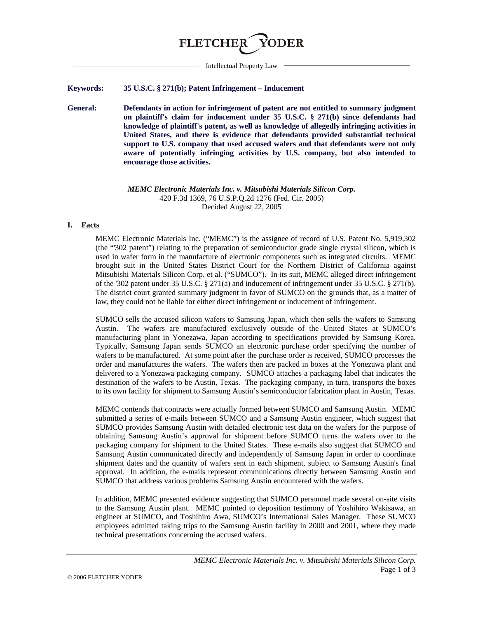

Intellectual Property Law

### **Keywords: 35 U.S.C. § 271(b); Patent Infringement – Inducement**

**General: Defendants in action for infringement of patent are not entitled to summary judgment on plaintiff's claim for inducement under 35 U.S.C. § 271(b) since defendants had knowledge of plaintiff's patent, as well as knowledge of allegedly infringing activities in United States, and there is evidence that defendants provided substantial technical support to U.S. company that used accused wafers and that defendants were not only aware of potentially infringing activities by U.S. company, but also intended to encourage those activities.**

> *MEMC Electronic Materials Inc. v. Mitsubishi Materials Silicon Corp.* 420 F.3d 1369, 76 U.S.P.Q.2d 1276 (Fed. Cir. 2005) Decided August 22, 2005

### **I. Facts**

MEMC Electronic Materials Inc. ("MEMC") is the assignee of record of U.S. Patent No. 5,919,302 (the "'302 patent") relating to the preparation of semiconductor grade single crystal silicon, which is used in wafer form in the manufacture of electronic components such as integrated circuits. MEMC brought suit in the United States District Court for the Northern District of California against Mitsubishi Materials Silicon Corp. et al. ("SUMCO"). In its suit, MEMC alleged direct infringement of the '302 patent under 35 U.S.C. § 271(a) and inducement of infringement under 35 U.S.C. § 271(b). The district court granted summary judgment in favor of SUMCO on the grounds that, as a matter of law, they could not be liable for either direct infringement or inducement of infringement.

SUMCO sells the accused silicon wafers to Samsung Japan, which then sells the wafers to Samsung Austin. The wafers are manufactured exclusively outside of the United States at SUMCO's manufacturing plant in Yonezawa, Japan according to specifications provided by Samsung Korea. Typically, Samsung Japan sends SUMCO an electronic purchase order specifying the number of wafers to be manufactured. At some point after the purchase order is received, SUMCO processes the order and manufactures the wafers. The wafers then are packed in boxes at the Yonezawa plant and delivered to a Yonezawa packaging company. SUMCO attaches a packaging label that indicates the destination of the wafers to be Austin, Texas. The packaging company, in turn, transports the boxes to its own facility for shipment to Samsung Austin's semiconductor fabrication plant in Austin, Texas.

MEMC contends that contracts were actually formed between SUMCO and Samsung Austin. MEMC submitted a series of e-mails between SUMCO and a Samsung Austin engineer, which suggest that SUMCO provides Samsung Austin with detailed electronic test data on the wafers for the purpose of obtaining Samsung Austin's approval for shipment before SUMCO turns the wafers over to the packaging company for shipment to the United States. These e-mails also suggest that SUMCO and Samsung Austin communicated directly and independently of Samsung Japan in order to coordinate shipment dates and the quantity of wafers sent in each shipment, subject to Samsung Austin's final approval. In addition, the e-mails represent communications directly between Samsung Austin and SUMCO that address various problems Samsung Austin encountered with the wafers.

In addition, MEMC presented evidence suggesting that SUMCO personnel made several on-site visits to the Samsung Austin plant. MEMC pointed to deposition testimony of Yoshihiro Wakisawa, an engineer at SUMCO, and Toshihiro Awa, SUMCO's International Sales Manager. These SUMCO employees admitted taking trips to the Samsung Austin facility in 2000 and 2001, where they made technical presentations concerning the accused wafers.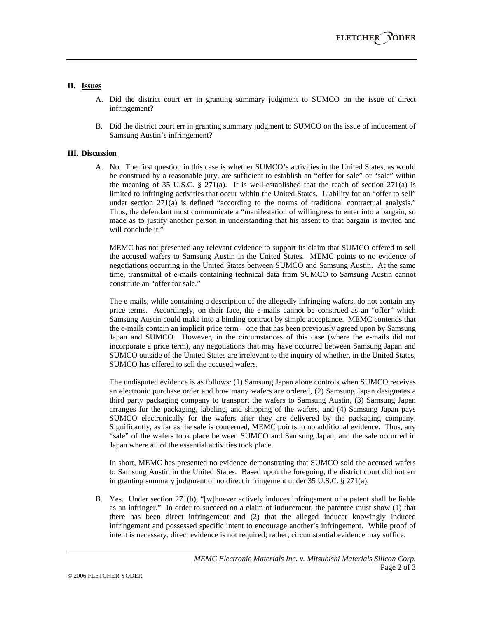## **II. Issues**

- A. Did the district court err in granting summary judgment to SUMCO on the issue of direct infringement?
- B. Did the district court err in granting summary judgment to SUMCO on the issue of inducement of Samsung Austin's infringement?

### **III. Discussion**

A. No. The first question in this case is whether SUMCO's activities in the United States, as would be construed by a reasonable jury, are sufficient to establish an "offer for sale" or "sale" within the meaning of 35 U.S.C. § 271(a). It is well-established that the reach of section 271(a) is limited to infringing activities that occur within the United States. Liability for an "offer to sell" under section 271(a) is defined "according to the norms of traditional contractual analysis." Thus, the defendant must communicate a "manifestation of willingness to enter into a bargain, so made as to justify another person in understanding that his assent to that bargain is invited and will conclude it."

MEMC has not presented any relevant evidence to support its claim that SUMCO offered to sell the accused wafers to Samsung Austin in the United States. MEMC points to no evidence of negotiations occurring in the United States between SUMCO and Samsung Austin. At the same time, transmittal of e-mails containing technical data from SUMCO to Samsung Austin cannot constitute an "offer for sale."

The e-mails, while containing a description of the allegedly infringing wafers, do not contain any price terms. Accordingly, on their face, the e-mails cannot be construed as an "offer" which Samsung Austin could make into a binding contract by simple acceptance. MEMC contends that the e-mails contain an implicit price term – one that has been previously agreed upon by Samsung Japan and SUMCO. However, in the circumstances of this case (where the e-mails did not incorporate a price term), any negotiations that may have occurred between Samsung Japan and SUMCO outside of the United States are irrelevant to the inquiry of whether, in the United States, SUMCO has offered to sell the accused wafers.

The undisputed evidence is as follows: (1) Samsung Japan alone controls when SUMCO receives an electronic purchase order and how many wafers are ordered, (2) Samsung Japan designates a third party packaging company to transport the wafers to Samsung Austin, (3) Samsung Japan arranges for the packaging, labeling, and shipping of the wafers, and (4) Samsung Japan pays SUMCO electronically for the wafers after they are delivered by the packaging company. Significantly, as far as the sale is concerned, MEMC points to no additional evidence. Thus, any "sale" of the wafers took place between SUMCO and Samsung Japan, and the sale occurred in Japan where all of the essential activities took place.

In short, MEMC has presented no evidence demonstrating that SUMCO sold the accused wafers to Samsung Austin in the United States. Based upon the foregoing, the district court did not err in granting summary judgment of no direct infringement under 35 U.S.C. § 271(a).

B. Yes. Under section 271(b), "[w]hoever actively induces infringement of a patent shall be liable as an infringer." In order to succeed on a claim of inducement, the patentee must show (1) that there has been direct infringement and (2) that the alleged inducer knowingly induced infringement and possessed specific intent to encourage another's infringement. While proof of intent is necessary, direct evidence is not required; rather, circumstantial evidence may suffice.